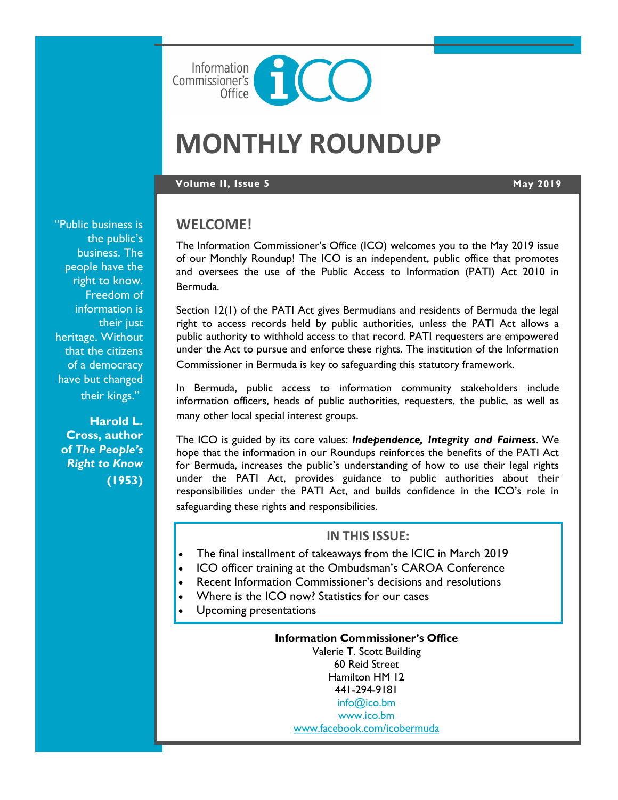

# **MONTHLY ROUNDUP**

#### **Volume II, Issue 5 May 2019**

"Public business is the public's business. The people have the right to know. Freedom of information is their just heritage. Without that the citizens of a democracy have but changed their kings."

**Harold L. Cross, author of** *The People's Right to Know* **(1953)**

#### **WELCOME!**

The Information Commissioner's Office (ICO) welcomes you to the May 2019 issue of our Monthly Roundup! The ICO is an independent, public office that promotes and oversees the use of the Public Access to Information (PATI) Act 2010 in Bermuda.

Section 12(1) of the PATI Act gives Bermudians and residents of Bermuda the legal right to access records held by public authorities, unless the PATI Act allows a public authority to withhold access to that record. PATI requesters are empowered under the Act to pursue and enforce these rights. The institution of the Information Commissioner in Bermuda is key to safeguarding this statutory framework.

In Bermuda, public access to information community stakeholders include information officers, heads of public authorities, requesters, the public, as well as many other local special interest groups.

The ICO is guided by its core values: *Independence, Integrity and Fairness*. We hope that the information in our Roundups reinforces the benefits of the PATI Act for Bermuda, increases the public's understanding of how to use their legal rights under the PATI Act, provides guidance to public authorities about their responsibilities under the PATI Act, and builds confidence in the ICO's role in safeguarding these rights and responsibilities.

#### **IN THIS ISSUE:**

- The final installment of takeaways from the ICIC in March 2019
- ICO officer training at the Ombudsman's CAROA Conference
- Recent Information Commissioner's decisions and resolutions
- Where is the ICO now? Statistics for our cases
- Upcoming presentations

**Information Commissioner's Office** Valerie T. Scott Building 60 Reid Street Hamilton HM 12 441-294-9181 [info@ico.bm](mailto:info@ico.bm) [www.ico.bm](http://www.ico.bm) [www.facebook.com/icobermuda](https://www.facebook.com/icobermuda/)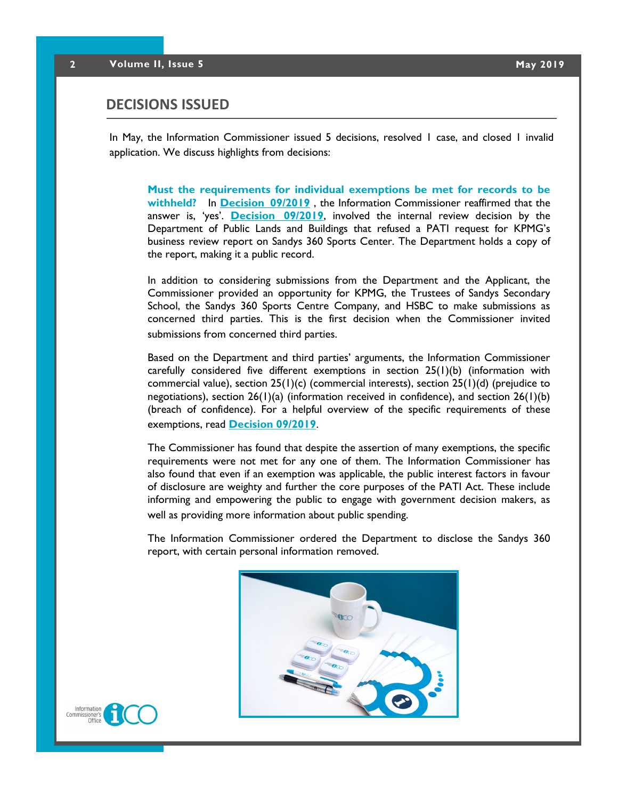#### **DECISIONS ISSUED**

In May, the Information Commissioner issued 5 decisions, resolved 1 case, and closed 1 invalid application. We discuss highlights from decisions:

**Must the requirements for individual exemptions be met for records to be withheld?** In **[Decision 09/2019](https://docs.wixstatic.com/ugd/5803dc_df08bdf5ba154bf8870da407d7aadd10.pdf)** , the Information Commissioner reaffirmed that the answer is, 'yes'. **[Decision 09/2019](https://docs.wixstatic.com/ugd/5803dc_df08bdf5ba154bf8870da407d7aadd10.pdf)**, involved the internal review decision by the Department of Public Lands and Buildings that refused a PATI request for KPMG's business review report on Sandys 360 Sports Center. The Department holds a copy of the report, making it a public record.

In addition to considering submissions from the Department and the Applicant, the Commissioner provided an opportunity for KPMG, the Trustees of Sandys Secondary School, the Sandys 360 Sports Centre Company, and HSBC to make submissions as concerned third parties. This is the first decision when the Commissioner invited submissions from concerned third parties.

Based on the Department and third parties' arguments, the Information Commissioner carefully considered five different exemptions in section 25(1)(b) (information with commercial value), section  $25(1)(c)$  (commercial interests), section  $25(1)(d)$  (prejudice to negotiations), section  $26(1)(a)$  (information received in confidence), and section  $26(1)(b)$ (breach of confidence). For a helpful overview of the specific requirements of these exemptions, read **[Decision 09/2019](https://docs.wixstatic.com/ugd/5803dc_df08bdf5ba154bf8870da407d7aadd10.pdf)**.

The Commissioner has found that despite the assertion of many exemptions, the specific requirements were not met for any one of them. The Information Commissioner has also found that even if an exemption was applicable, the public interest factors in favour of disclosure are weighty and further the core purposes of the PATI Act. These include informing and empowering the public to engage with government decision makers, as well as providing more information about public spending.

The Information Commissioner ordered the Department to disclose the Sandys 360 report, with certain personal information removed.



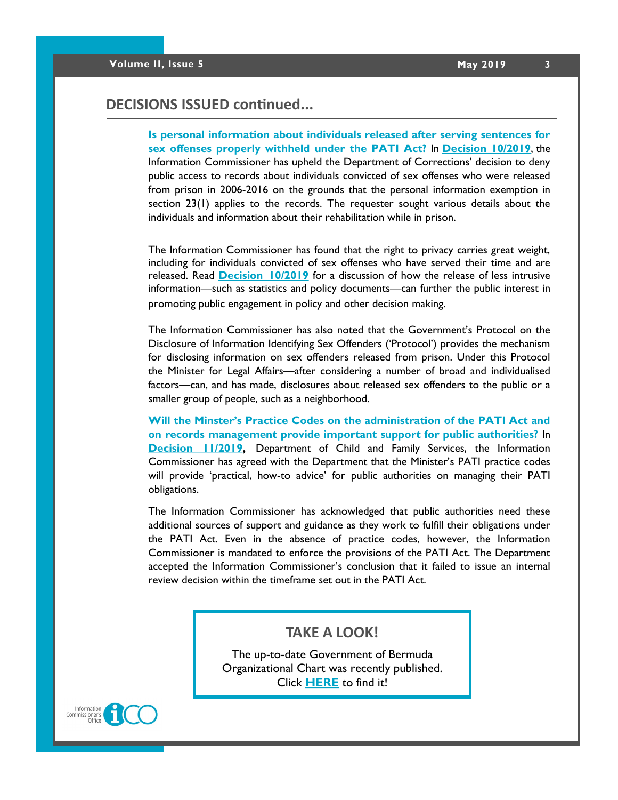### **DECISIONS ISSUED continued...**

**Is personal information about individuals released after serving sentences for sex offenses properly withheld under the PATI Act?** In **[Decision 10/2019](https://docs.wixstatic.com/ugd/5803dc_4c4051b4122d42b0a0a9a85e07bd7262.pdf)**, the Information Commissioner has upheld the Department of Corrections' decision to deny public access to records about individuals convicted of sex offenses who were released from prison in 2006-2016 on the grounds that the personal information exemption in section 23(1) applies to the records. The requester sought various details about the individuals and information about their rehabilitation while in prison.

The Information Commissioner has found that the right to privacy carries great weight, including for individuals convicted of sex offenses who have served their time and are released. Read **[Decision 10/2019](https://docs.wixstatic.com/ugd/5803dc_4c4051b4122d42b0a0a9a85e07bd7262.pdf)** for a discussion of how the release of less intrusive information—such as statistics and policy documents—can further the public interest in promoting public engagement in policy and other decision making.

The Information Commissioner has also noted that the Government's Protocol on the Disclosure of Information Identifying Sex Offenders ('Protocol') provides the mechanism for disclosing information on sex offenders released from prison. Under this Protocol the Minister for Legal Affairs—after considering a number of broad and individualised factors—can, and has made, disclosures about released sex offenders to the public or a smaller group of people, such as a neighborhood.

**Will the Minster's Practice Codes on the administration of the PATI Act and on records management provide important support for public authorities?** In **[Decision 11/2019,](https://docs.wixstatic.com/ugd/5803dc_650d3fa7028044f8824a8f320a9759c0.pdf)** Department of Child and Family Services, the Information Commissioner has agreed with the Department that the Minister's PATI practice codes will provide 'practical, how-to advice' for public authorities on managing their PATI obligations.

The Information Commissioner has acknowledged that public authorities need these additional sources of support and guidance as they work to fulfill their obligations under the PATI Act. Even in the absence of practice codes, however, the Information Commissioner is mandated to enforce the provisions of the PATI Act. The Department accepted the Information Commissioner's conclusion that it failed to issue an internal review decision within the timeframe set out in the PATI Act.

#### **TAKE A LOOK!**

The up-to-date Government of Bermuda Organizational Chart was recently published. Click **[HERE](https://www.gov.bm/how-government-run)** to find it!

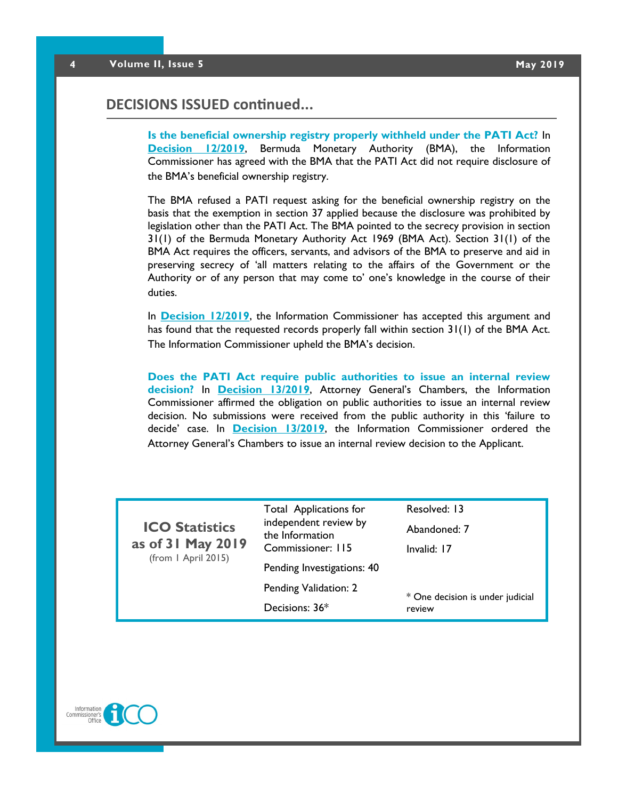#### **DECISIONS ISSUED continued...**

**Is the beneficial ownership registry properly withheld under the PATI Act?** In **[Decision 12/2019](https://docs.wixstatic.com/ugd/5803dc_14592a81a18a4e0c9e18e57dcf765c44.pdf)**, Bermuda Monetary Authority (BMA), the Information Commissioner has agreed with the BMA that the PATI Act did not require disclosure of the BMA's beneficial ownership registry.

The BMA refused a PATI request asking for the beneficial ownership registry on the basis that the exemption in section 37 applied because the disclosure was prohibited by legislation other than the PATI Act. The BMA pointed to the secrecy provision in section 31(1) of the Bermuda Monetary Authority Act 1969 (BMA Act). Section 31(1) of the BMA Act requires the officers, servants, and advisors of the BMA to preserve and aid in preserving secrecy of 'all matters relating to the affairs of the Government or the Authority or of any person that may come to' one's knowledge in the course of their duties.

In **[Decision 12/2019](https://docs.wixstatic.com/ugd/5803dc_14592a81a18a4e0c9e18e57dcf765c44.pdf)**, the Information Commissioner has accepted this argument and has found that the requested records properly fall within section 31(1) of the BMA Act. The Information Commissioner upheld the BMA's decision.

**Does the PATI Act require public authorities to issue an internal review decision?** In **[Decision 13/2019](https://docs.wixstatic.com/ugd/5803dc_7e15d22b394f49a1b4e6a8e9f25c1cdf.pdf)**, Attorney General's Chambers, the Information Commissioner affirmed the obligation on public authorities to issue an internal review decision. No submissions were received from the public authority in this 'failure to decide' case. In **[Decision 13/2019](https://docs.wixstatic.com/ugd/5803dc_7e15d22b394f49a1b4e6a8e9f25c1cdf.pdf)**, the Information Commissioner ordered the Attorney General's Chambers to issue an internal review decision to the Applicant.

| <b>ICO Statistics</b><br>as of 31 May 2019<br>(from 1 April 2015) | <b>Total Applications for</b><br>independent review by<br>the Information<br>Commissioner: 115 | Resolved: 13<br>Abandoned: 7<br>Invalid: 17 |
|-------------------------------------------------------------------|------------------------------------------------------------------------------------------------|---------------------------------------------|
|                                                                   | Pending Investigations: 40                                                                     |                                             |
|                                                                   | Pending Validation: 2                                                                          | * One decision is under judicial<br>review  |
|                                                                   | Decisions: 36*                                                                                 |                                             |

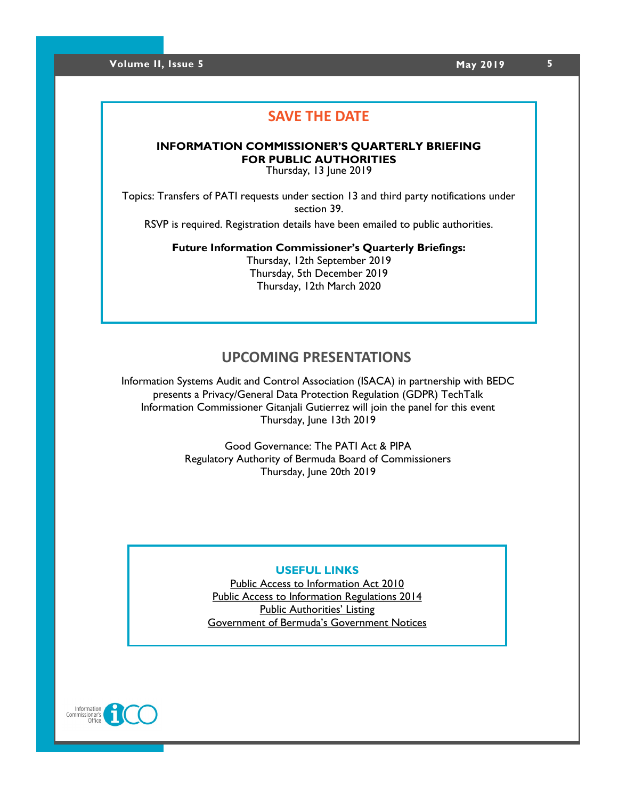### **SAVE THE DATE**

#### **INFORMATION COMMISSIONER'S QUARTERLY BRIEFING FOR PUBLIC AUTHORITIES**

Thursday, 13 June 2019

Topics: Transfers of PATI requests under section 13 and third party notifications under section 39.

RSVP is required. Registration details have been emailed to public authorities.

**Future Information Commissioner's Quarterly Briefings:** Thursday, 12th September 2019 Thursday, 5th December 2019

Thursday, 12th March 2020

### **UPCOMING PRESENTATIONS**

Information Systems Audit and Control Association (ISACA) in partnership with BEDC presents a Privacy/General Data Protection Regulation (GDPR) TechTalk Information Commissioner Gitanjali Gutierrez will join the panel for this event Thursday, June 13th 2019

> Good Governance: The PATI Act & PIPA Regulatory Authority of Bermuda Board of Commissioners Thursday, June 20th 2019

#### **USEFUL LINKS**

[Public Access to Information Act 2010](http://www.bermudalaws.bm/laws/Consolidated%20Laws/Public%20Access%20to%20Information%20Act%202010.pdf) [Public Access to Information Regulations 2014](http://www.bermudalaws.bm/laws/Consolidated%20Laws/Public%20Access%20to%20Information%20Regulations%202014.pdf) [Public Authorities' Listing](https://www.ico.bm/copy-of-public-authorities-list-1) [Government of Bermuda's Government Notices](https://www.gov.bm/theofficialgazette/notices?combine=GN)

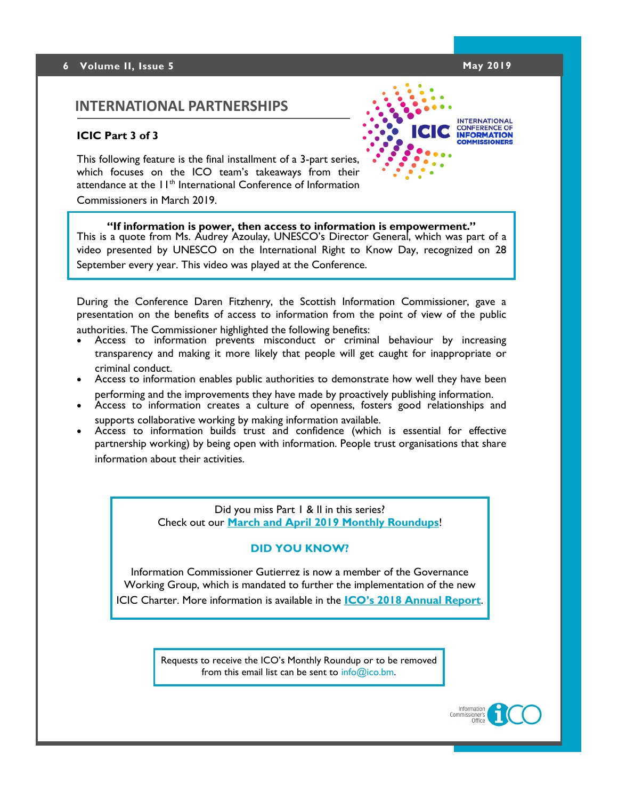#### **6 Volume II, Issue 5 May 2019**

### **INTERNATIONAL PARTNERSHIPS**

#### **ICIC Part 3 of 3**

This following feature is the final installment of a 3-part series, which focuses on the ICO team's takeaways from their attendance at the 11<sup>th</sup> International Conference of Information Commissioners in March 2019.



**INTERNATIONAL CONFERENCE OF**<br> **INFORMATION** 

#### **"If information is power, then access to information is empowerment."**

This is a quote from Ms. Audrey Azoulay, UNESCO's Director General, which was part of a video presented by UNESCO on the International Right to Know Day, recognized on 28 September every year. This video was played at the Conference.

During the Conference Daren Fitzhenry, the Scottish Information Commissioner, gave a presentation on the benefits of access to information from the point of view of the public authorities. The Commissioner highlighted the following benefits:

- Access to information prevents misconduct or criminal behaviour by increasing transparency and making it more likely that people will get caught for inappropriate or criminal conduct.
- Access to information enables public authorities to demonstrate how well they have been performing and the improvements they have made by proactively publishing information.
- Access to information creates a culture of openness, fosters good relationships and supports collaborative working by making information available.
- Access to information builds trust and confidence (which is essential for effective partnership working) by being open with information. People trust organisations that share information about their activities.

Did you miss Part 1 & II in this series? Check out our **[March and April 2019 Monthly Roundups](https://www.ico.bm/annual-reports)**!

#### **DID YOU KNOW?**

Information Commissioner Gutierrez is now a member of the Governance Working Group, which is mandated to further the implementation of the new ICIC Charter. More information is available in the **[ICO's 2018 Annual Report](https://www.ico.bm/annual-reports)**.

> Requests to receive the ICO's Monthly Roundup or to be removed from this email list can be sent to  $info@ico.bm$ .